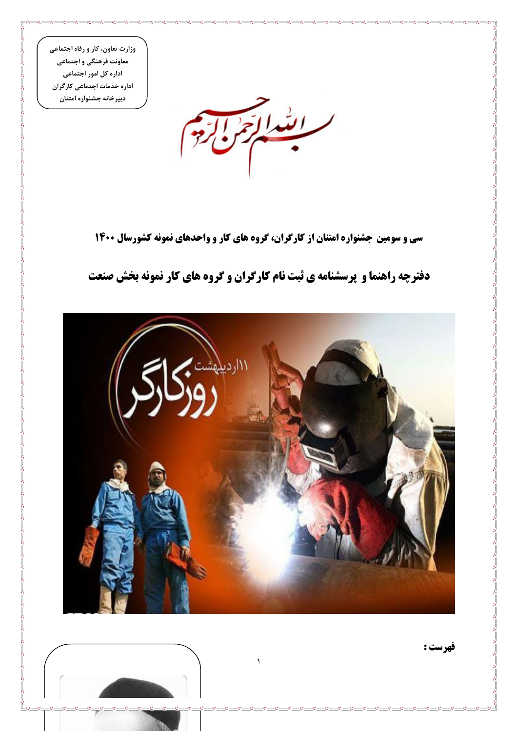وزارت تعاون، کار و رفاه اجتماعی معاونت فرهنگی و اجتماعی اداره کل امور اجتماعی اداره خدمات اجتماعی کارگران دبیر خانه جشنواره امتنان

 $\sim$   $\sim$ 

 $\frac{1}{2}$ 

 $\frac{1}{2}$ 

 $\frac{1}{\sqrt{2}}$   $\frac{1}{\sqrt{2}}$   $\frac{1}{\sqrt{2}}$ 



سی و سومین جشنواره امتنان از کارگران، گروه های کار و واحدهای نمونه کشورسال ۱۴۰۰

## دفترچه راهنما و پرسشنامه ی ثبت نام کارگران و گروه های کار نمونه بخش صنعت



فهرست :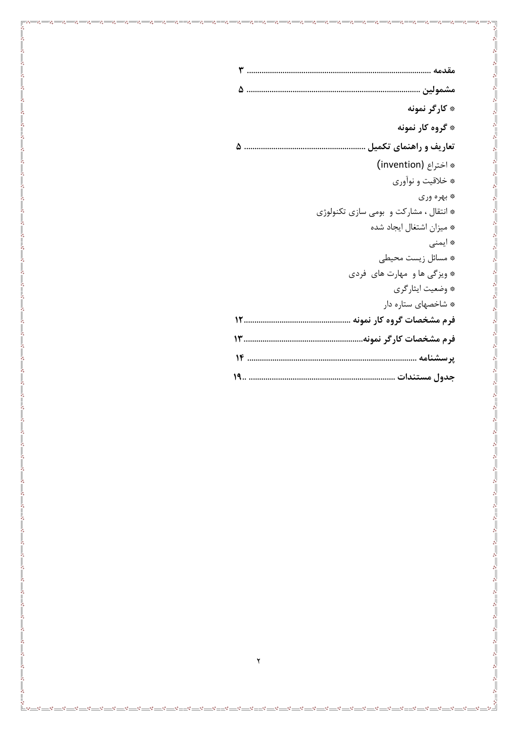| * کارگر نمونه                           |
|-----------------------------------------|
| * گروه کار نمونه                        |
| تعاریف و راهنمای تکمیل                  |
| * اختراع (invention)                    |
| * خلاقيت و نواّوري                      |
| * بهره وري                              |
| * انتقال ، مشاركت و  بومي سازي تكنولوژي |
| * میزان اشتغال ایجاد شده                |
| * ايمنى                                 |
| * مسائل زيست محيطى                      |
| * ویزگی ها و مهارت های فردی             |
| * وضعيت ايثارگري                        |
| * شاخصهای ستاره دار                     |
|                                         |
|                                         |
|                                         |
|                                         |

. . . . . . . . . . . . . . . . .

 $\begin{array}{c} \circ \\ \circ \\ \circ \\ \circ \\ \circ \end{array}$ 

 $-28 - 28 - 28 - 28$ 

 $s = -3$  .  $s = -3$  .  $s = -3$  .  $s = -3$  .  $s = -3$  .  $s = -3$  .  $s = -3$  .  $s = -3$  .

°° - °° - °° - °° - °° - °° - °

 $-8^{\circ} - 8^{\circ} - 8^{\circ}$ 

<u>'........</u><br>'

 $\sim -\sim$ 

 $\mathcal{S}_\mathbf{0}$  $\frac{1}{2}$ -80

 $-20 - 20 - 20 - 20$ 

ೲ  $\circ_0^{\circ}$  <mark>°°——°°——°</mark>°

 $\cdot^{\circ}$ 

 $\frac{100}{100}$  -  $\frac{100}{100}$  -  $\frac{100}{100}$  -  $\frac{100}{100}$ 

 $\frac{100}{100}$   $\frac{100}{100}$   $\frac{100}{100}$   $\frac{100}{100}$   $\frac{100}{100}$ 

 $^{\circ}$ <sup> $\circ$ </sup>

 $-$ % $-$ 

 $-80^{\circ}$ 

 $\frac{1}{2}$  $\frac{1}{2}$   $\mathcal{S}^{\bullet}$  $-80$  $\cdot$   $\cdot$  . . . . . . . . . . . .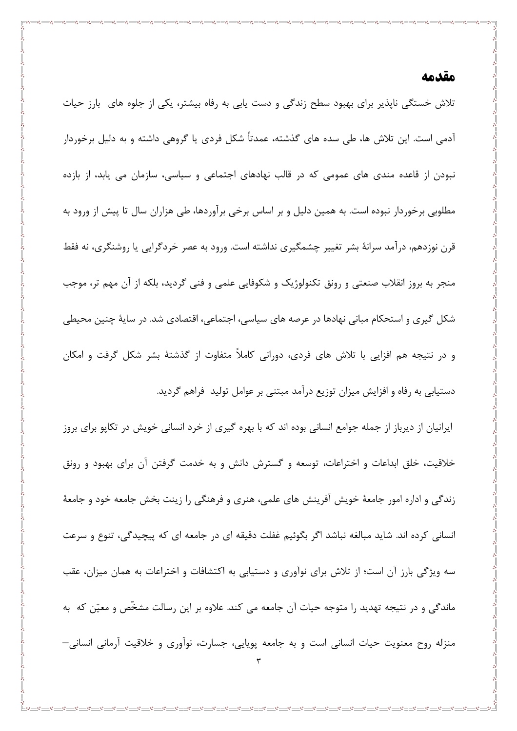### مقدمه

تلاش خستگی ناپذیر برای بهبود سطح زندگی و دست یابی به رفاه بیشتر، یکی از جلوه های ِ بارز حیات آدمی است. این تلاش ها، طی سده های گذشته، عمدتاً شکل فردی یا گروهی داشته و به دلیل برخوردار نبودن از قاعده مندی های عمومی که در قالب نهادهای اجتماعی و سیاسی، سازمان می یابد، از بازده مطلوبی برخوردار نبوده است. به همین دلیل و بر اساس برخی برآوردها، طی هزاران سال تا پیش از ورود به قرن نوزدهم، درامد سرانهٔ بشر تغییر چشمگیری نداشته است. ورود به عصر خردگرایی یا روشنگری، نه فقط منجر به بروز انقلاب صنعتی و رونق تکنولوژیک و شکوفایی علمی و فنی گردید، بلکه از آن مهم تر، موجب شکل گیری و استحکام مبانی نهادها در عرصه های سیاسی، اجتماعی، اقتصادی شد. در سایهٔ چنین محیطی و در نتیجه هم افزایی با تلاش های فردی، دورانی کاملاً متفاوت از گذشتهٔ بشر شکل گرفت و امکان دستیابی به رفاه و افزایش میزان توزیع درآمد مبتنی بر عوامل تولید فراهم گردید.

ایرانیان از دیرباز از جمله جوامع انسانی بوده اند که با بهره گیری از خرد انسانی خویش در تکاپو برای بروز خلاقیت، خلق ابداعات و اختراعات، توسعه و گسترش دانش و به خدمت گرفتن آن برای بهبود و رونق زندگی و اداره امور جامعهٔ خویش آفرینش های علمی، هنری و فرهنگی را زینت بخش جامعه خود و جامعهٔ انسانی کرده اند. شاید مبالغه نباشد اگر بگوئیم غفلت دقیقه ای در جامعه ای که پیچیدگی، تنوع و سرعت سه ویژگی بارز آن است؛ از تلاش برای نوآوری و دستیابی به اکتشافات و اختراعات به همان میزان، عقب ماندگی و در نتیجه تهدید را متوجه حیات آن جامعه می کند. علاوه بر این رسالت مشخّص و معیّن که به منزله روح معنویت حیات انسانی است و به جامعه پویایی، جسارت، نوآوری و خلاقیت آرمانی انسانی—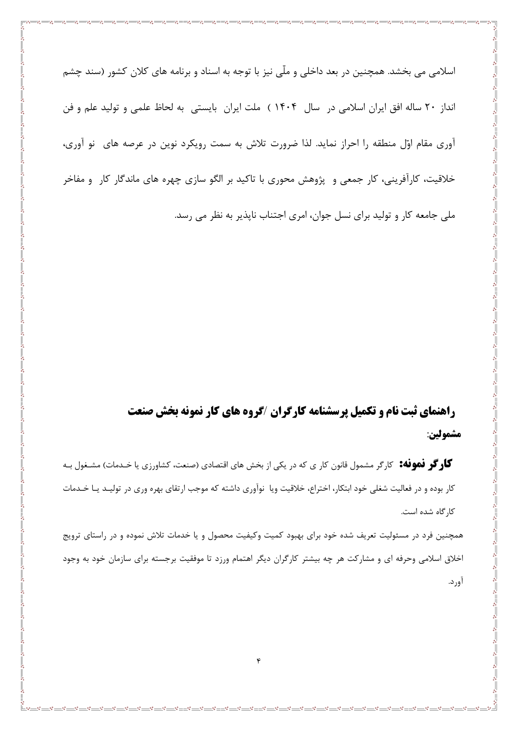اسلامی می بخشد. همچنین در بعد داخلی و ملّی نیز با توجه به اسناد و برنامه های کلان کشور (سند چشم انداز ٢٠ ساله افق ايران اسلامي در سال ١۴٠۴ ) ملت ايران بايستي به لحاظ علمي و توليد علم و فن آوری مقام اوّل منطقه را احراز نماید. لذا ضرورت تلاش به سمت رویکرد نوین در عرصه های ِ نو آوری، خلاقیت، کارآفرینی، کار جمعی و پژوهش محوری با تاکید بر الگو سازی چهره های ماندگار کار و مفاخر ملي جامعه کار و توليد براي نسل جوان، امري اجتناب نايذير به نظر مي رسد.

# راهنمای ثبت نام و تکمیل پرسشنامه کارگران /گروه های کار نمونه بخش صنعت مشمولين:

گاوگو فهوفه: کارگر مشمول قانون کار ی که در یکی از بخش های اقتصادی (صنعت، کشاورزی یا خـدمات) مشـغول بـه کار بوده و در فعالیت شغلی خود ابتکار، اختراع، خلاقیت ویا نوآوری داشته که موجب ارتقای بهره وری در تولیـد یـا خـدمات کا, گاه شده است.

همچنین فرد در مسئولیت تعریف شده خود برای بهبود کمیت وکیفیت محصول و یا خدمات تلاش نموده و در راستای ترویج اخلاق اسلامی وحرفه ای و مشارکت هر چه بیشتر کارگران دیگر اهتمام ورزد تا موفقیت برجسته برای سازمان خود به وجود آورد.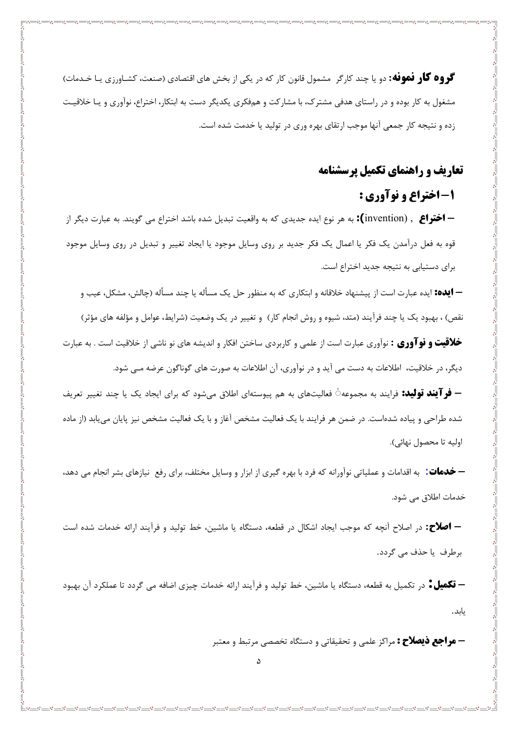گووه گاو فهوفه: دو یا چند کارگر مشمول قانون کار که در یکی از بخش های اقتصادی (صنعت، کشـاورزی یـا خـدمات) مشغول به کار بوده و در راستای هدفی مشترک، با مشارکت و همفکری یکدیگر دست به ابتکار، اختراع، نوآوری و یـا خلاقیـت زده و نتیجه کار جمعی آنها موجب ارتقای بهره وری در تولید یا خدمت شده است.

### **تعاریف و راهنمای تکمیل پرسشنامه**

### ۱- اختراع و نوآوري :

**— اختراع** , (invention**):** به هر نوع ايده جديدي كه به واقعيت تبديل شده باشد اختراع مي گويند. به عبارت ديگر از قوه به فعل درآمدن یک فکر یا اعمال یک فکر جدید بر روی وسایل موجود یا ایجاد تغییر و تبدیل در روی وسایل موجود برای دستیابی به نتیجه جدید اختراع است.

— **ایده:** ایده عبارت است از پیشنهاد خلاقانه و ابتکاری که به منظور حل یک مسأله یا چند مسأله (چالش، مشکل، عیب و نقص) ، بهبود یک یا چند فرآیند (متد، شیوه و روش انجام کار) و تغییر در یک وضعیت (شرایط، عوامل و مؤلفه های مؤثر) **خلاقیت و نوآوری :** نوآوری عبارت است از علمی و کاربردی ساختن افکار و اندیشه های نو ناشی از خلاقیت است . به عبارت

دیگر، در خلاقیت، اطلاعات به دست می آید و در نوآوری، آن اطلاعات به صورت های گوناگون عرضه مـی شود.

**– فر آیند تولید:** فرایند به مجموعه ٔ فعالیتهای به هم پیوستهای اطلاق میشود که برای ایجاد یک یا چند تغییر تعریف شده طراحی و پیاده شدهاست. در ضمن هر فرایند با یک فعالیت مشخص آغاز و با یک فعالیت مشخص نیز پایان می یابد (از ماده اوليه تا محصول نهائي).

**— خدمات:** به اقدامات و عملیاتی نوآورانه که فرد با بهره گیری از ابزار و وسایل مختلف، برای رفع نیازهای بشر انجام می دهد، خدمات اطلاق می شود.

**– اصلاح:** در اصلاح آنچه که موجب ایجاد اشکال در قطعه، دستگاه یا ماشین، خط تولید و فرآیند ارائه خدمات شده است برطرف يا حذف مي گردد.

— **تکمیل ٔ** در تکمیل به قطعه، دستگاه یا ماشین، خط تولید و فرآیند ارائه خدمات چیزی اضافه می گردد تا عملکرد آن بهبود يابد.

**– هو اجع ذیصلاح :** مراکز علمی و تحقیقاتی و دستگاه تخصصی مرتبط و معتبر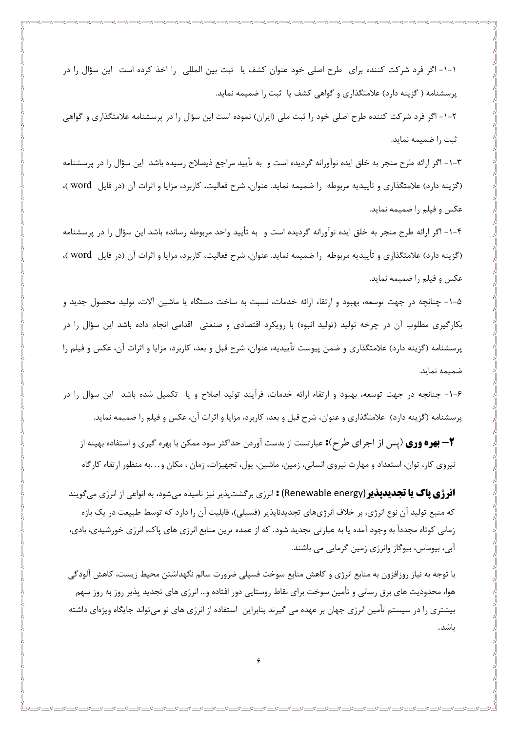۱-۱- اگر فرد شرکت کننده برای طرح اصلی خود عنوان کشف یا ثبت بین المللی را اخذ کرده است این سؤال را در پرسشنامه ( گزینه دارد) علامتگذاری و گواهی کشف یا ثبت را ضمیمه نماید.

۲-۱- اگر فرد شرکت کننده طرح اصلی خود را ثبت ملی (ایران) نموده است این سؤال را در پرسشنامه علامتگذاری و گواهی ثبت را ضميمه نمايد.

۳-۱- اگر ارائه طرح منجر به خلق ایده نوآورانه گردیده است و به تأیید مراجع ذیصلاح رسیده باشد این سؤال را در پرسشنامه (گزینه دارد) علامتگذاری و تأییدیه مربوطه را ضمیمه نماید. عنوان، شرح فعالیت، کاربرد، مزایا و اثرات آن (در فایل word )، عکس و فیلم را ضمیمه نماید.

۴–۱– اگر ارائه طرح منجر به خلق ایده نوآورانه گردیده است و به تأیید واحد مربوطه رسانده باشد این سؤال را در پرسشنامه (گزینه دارد) علامتگذاری و تأییدیه مربوطه را ضمیمه نماید. عنوان، شرح فعالیت، کاربرد، مزایا و اثرات آن (در فایل word )، عکس و فیلم را ضمیمه نماید.

۵-۱- چنانچه در جهت توسعه، بهبود و ارتقاء ارائه خدمات، نسبت به ساخت دستگاه یا ماشین آلات، تولید محصول جدید و بکارگیری مطلوب آن در چرخه تولید (تولید انبوه) با رویکرد اقتصادی و صنعتی اقدامی انجام داده باشد این سؤال را در پرسشنامه (گزینه دارد) علامتگذاری و ضمن پیوست تأییدیه، عنوان، شرح قبل و بعد، کاربرد، مزایا و اثرات آن، عکس و فیلم را ضميمه نمايد.

۶–۱– چنانچه در جهت توسعه، بهبود و ارتقاء ارائه خدمات، فرآیند تولید اصلاح و یا تکمیل شده باشد آین سؤال را در پرسشنامه (گزینه دارد) علامتگذاری و عنوان، شرح قبل و بعد، کاربرد، مزایا و اثرات آن، عکس و فیلم را ضمیمه نماید.

\*- **بهره ووی** (پس از اجرای طرح): عبارتست از بدست آوردن حداکثر سود ممکن با بهره گیری و استفاده بهینه از نیروی کار، توان، استعداد و مهارت نیروی انسانی، زمین، ماشین، پول، تجهیزات، زمان ، مکان و…به منظور ارتقاء کارگاه

**انرژی پاک یا تجدیدپذیر (**Renewable energy) : انرژی برگشتپذیر نیز نامیده میشود، به انواعی از انرژی میگویند که منبع تولید آن نوع انرژی، بر خلاف انرژیهای تجدیدناپذیر (فسیلی)، قابلیت آن را دارد که توسط طبیعت در یک بازه زمانی کوتاه مجدداً به وجود آمده یا به عبارتی تجدید شود. که از عمده ترین منابع انرژی های پاک، انرژی خورشیدی، بادی، آبی، بیوماس، بیوگاز وانرژی زمین گرمایی می باشند.

با توجه به نياز روزافزون به منابع انرژى و كاهش منابع سوخت فسيلى ضرورت سالم نگهداشتن محيط زيست، كاهش آلودگي هوا، محدودیت های برق رسانی و تأمین سوخت برای نقاط روستایی دور افتاده و… انرژی های تجدید پذیر روز به روز سهم بیشتری را در سیستم تأمین انرژی جهان بر عهده می گیرند بنابراین استفاده از انرژی های نو می تواند جایگاه ویژهای داشته باشد.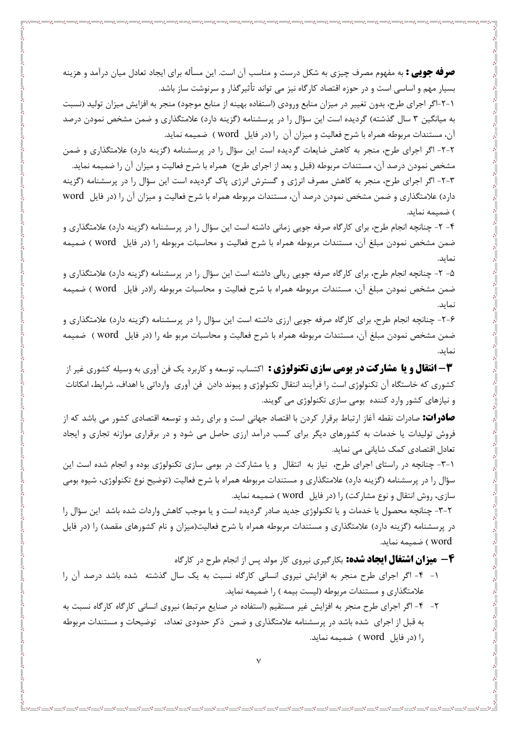**صرفه جویی :** به مفهوم مصرف چیزی به شکل درست و مناسب آن است. این مسأله برای ایجاد تعادل میان درآمد و هزینه بسیار مهم و اساسی است و در حوزه اقتصاد کارگاه نیز می تواند تأثیرگذار و سرنوشت ساز باشد.

1-۲-اگر اجراي طرح، بدون تغيير در ميزان منابع ورودي (استفاده بهينه از منابع موجود) منجر به افزايش ميزان توليد (نسبت به میانگین ۳ سال گذشته) گردیده است این سؤال را در پرسشنامه (گزینه دارد) علامتگذاری و ضمن مشخص نمودن درصد آن، مستندات مربوطه همراه با شرح فعالیت و میزان آن را (در فایل word ) ضمیمه نماید.

۲-۲- اگر اجرای طرح، منجر به کاهش ضایعات گردیده است این سؤال را در پرسشنامه (گزینه دارد) علامتگذاری و ضمن مشخص نمودن درصد آن، مستندات مربوطه (قبل و بعد از اجراي طرح) همراه با شرح فعاليت و ميزان آن را ضميمه نمايد.

۳-۲- اگر اجرای طرح، منجر به کاهش مصرف انرژی و گسترش انرژی پاک گردیده است این سؤال را در پرسشنامه (گزینه دارد) علامتگذاری و ضمن مشخص نمودن درصد آن، مستندات مربوطه همراه با شرح فعالیت و میزان آن را (در فایل word ) ضميمه نمايد.

۴- ۲- چنانچه انجام طرح، برای کارگاه صرفه جویی زمانی داشته است این سؤال را در پرسشنامه (گزینه دارد) علامتگذاری و ضمن مشخص نمودن مبلغ آن، مستندات مربوطه همراه با شرح فعاليت و محاسبات مربوطه را (در فايل word ) ضميمه نمايد.

۵- ۲- چنانچه انجام طرح، برای کارگاه صرفه جویی ریالی داشته است این سؤال را در پرسشنامه (گزینه دارد) علامتگذاری و ضمن مشخص نمودن مبلغ آن، مستندات مربوطه همراه با شرح فعاليت و محاسبات مربوطه را(در فايل word ) ضميمه نمايد.

۶-۲- چنانچه انجام طرح، برای کارگاه صرفه جویی ارزی داشته است این سؤال را در پرسشنامه (گزینه دارد) علامتگذاری و ضمن مشخص نمودن مبلغ آن، مستندات مربوطه همراه با شرح فعاليت و محاسبات مربو طه را (در فايل word ) ضميمه نمايد.

**۳- انتقال و یا مشارکت در بومی سازی تکنولوژی :** اکتساب، توسعه و کاربرد یک فن آوری به وسیله کشوری غیر از کشوری که خاستگاه آن تکنولوژی است را فرآیند انتقال تکنولوژی و پیوند دادن فن آوری وارداتی با اهداف، شرایط، امکانات و نیازهای کشور وارد کننده بومی سازی تکنولوژی می گویند.

<mark>صادرات:</mark> صادرات نقطه آغاز ارتباط برقرار کردن با اقتصاد جهانی است و برای رشد و توسعه اقتصادی کشور می باشد که از فروش تولیدات یا خدمات به کشورهای دیگر برای کسب درآمد ارزی حاصل می شود و در برقراری موازنه تجاری و ایجاد تعادل اقتصادی کمک شایانی می نماید.

٦-٦- چنانچه در راستای اجرای طرح، نیاز به انتقال و یا مشارکت در بومی سازی تکنولوژی بوده و انجام شده است این سؤال را در پرسشنامه (گزینه دارد) علامتگذاری و مستندات مربوطه همراه با شرح فعالیت (توضیح نوع تکنولوژی، شیوه بومی سازی، روش انتقال و نوع مشارکت) را (در فایل word ) ضمیمه نماید.

۳-۲- چنانچه محصول یا خدمات و یا تکنولوژی جدید صادر گردیده است و یا موجب کاهش واردات شده باشد این سؤال را در پرسشنامه (گزینه دارد) علامتگذاری و مستندات مربوطه همراه با شرح فعالیت(میزان و نام کشورهای مقصد) را (در فایل word ) ضميمه نمايد.

**4 - میزان اشتغال ایجاد شده:** بکارگیری نیروی کار مولد پس از انجام طرح در کارگاه

- ۰۱ ۴- اگر اجرای طرح منجر به افزایش نیروی انسانی کارگاه نسبت به یک سال گذشته شده باشد درصد آن را علامتگذاری و مستندات مربوطه (لیست بیمه ) را ضمیمه نماید.
- ۲- ۴- اگر اجرای طرح منجر به افزایش غیر مستقیم (استفاده در صنایع مرتبط) نیروی انسانی کارگاه کارگاه نسبت به به قبل از اجرای شده باشد در پرسشنامه علامتگذاری و ضمن ذکر حدودی تعداد، توضیحات و مستندات مربوطه را (در فایل word ) ضمیمه نماید.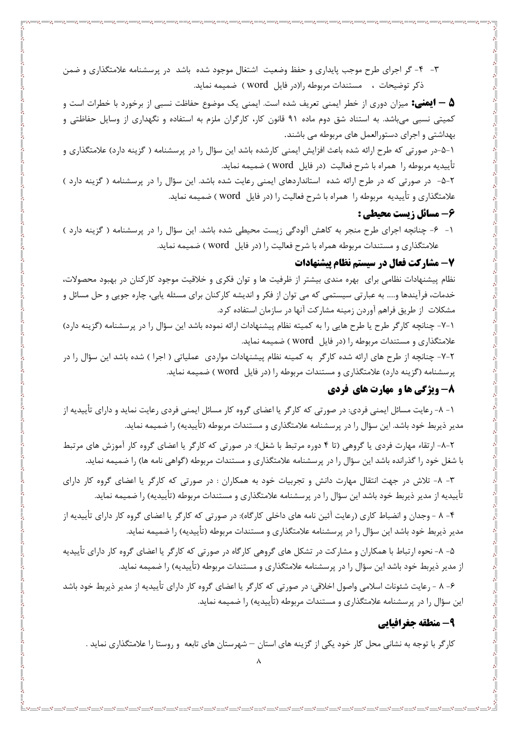۳- ۴- گر اجرای طرح موجب پایداری و حفظ وضعیت اشتغال موجود شده باشد در پرسشنامه علامتگذاری و ضمن ذكر توضيحات ، مستندات مربوطه را(در فايل word) ضميمه نمايد.

**۵ — ایمنی:** میزان دوری از خطر ایمنی تعریف شده است. ایمنی یک موضوع حفاظت نسبی از برخورد با خطرات است و کمیتی نسبی میباشد. به استناد شق دوم ماده ۹۱ قانون کار، کارگران ملزم به استفاده و نگهداری از وسایل حفاظتی و بهداشتی و اجرای دستورالعمل های مربوطه می باشند.

۰–۵–در صورتی که طرح ارائه شده باعث افزایش ایمنی کارشده باشد این سؤال را در پرسشنامه ( گزینه دارد) علامتگذاری و تأييديه مربوطه را همراه با شرح فعاليت (در فايل word) ضميمه نمايد.

۲-۵- در صورتی که در طرح ارائه شده استانداردهای ایمنی رعایت شده باشد. این سؤال را در پرسشنامه ( گزینه دارد ) علامتگذاری و تأییدیه مربوطه را همراه با شرح فعالیت را (در فایل word ) ضمیمه نماید.

#### ۶- مسائل زيست محيطي :

۱- ۶- چنانچه اجرای طرح منجر به کاهش آلودگی زیست محیطی شده باشد. این سؤال را در پرسشنامه ( گزینه دارد ) علامتگذاری و مستندات مربوطه همراه با شرح فعالیت را (در فایل word ) ضمیمه نماید.

#### 7- مشاركت فعال در سيستم نظام پيشنهادات

نظام پیشنهادات نظامی برای بهره مندی بیشتر از ظرفیت ها و توان فکری و خلاقیت موجود کارکنان در بهبود محصولات، خدمات، فرآیندها و….. به عبارتی سیستمی که می توان از فکر و اندیشه کارکنان برای مسئله پابی، چاره جویی و حل مسائل و مشکلات از طریق فراهم آوردن زمینه مشارکت آنها در سازمان استفاده کرد.

١-٧- چنانچه كارگر طرح يا طرح هايي را به كميته نظام پيشنهادات ارائه نموده باشد اين سؤال را در پرسشنامه (گزينه دارد) علامتگذاری و مستندات مربوطه را (در فایل word) ) ضمیمه نماید.

۲-۷- چنانچه از طرح های ارائه شده کارگر به کمینه نظام پیشنهادات مواردی عملیاتی ( اجرا ) شده باشد این سؤال را در پرسشنامه (گزینه دارد) علامتگذاری و مستندات مربوطه را (در فایل word) ) ضمیمه نماید.

#### **8- ویژگی ها و مهارت های فردی**

۱– ۸– رعایت مسائل ایمنی فردی: در صورتی که کارگر یا اعضای گروه کار مسائل ایمنی فردی رعایت نماید و دارای تأییدیه از مدیر ذیربط خود باشد. این سؤال را در پرسشنامه علامتگذاری و مستندات مربوطه (تأییدیه) را ضمیمه نماید.

۲-۸- ارتقاء مهارت فردي يا گروهي (تا ۴ دوره مرتبط با شغل): در صورتي كه كارگر يا اعضاي گروه كار آموزش هاي مرتبط با شغل خود را گذرانده باشد این سؤال را در پرسشنامه علامتگذاری و مستندات مربوطه (گواهی نامه ها) را ضمیمه نماید.

۳- ۸- تلاش در جهت انتقال مهارت دانش و تجربیات خود به همکاران : در صورتی که کارگر یا اعضای گروه کار دارای تأييديه از مدير ذيربط خود باشد اين سؤال را در پرسشنامه علامتگذاري و مستندات مربوطه (تأييديه) را ضميمه نمايد.

۴- ۸ - وجدان و انضباط کاری (رعایت آئین نامه های داخلی کارگاه): در صورتی که کارگر یا اعضای گروه کار دارای تأییدیه از مدیر ذیربط خود باشد این سؤال را در پرسشنامه علامتگذاری و مستندات مربوطه (تأییدیه) را ضمیمه نماید.

۵- ۸- نحوه ارتباط با همکاران و مشارکت در تشکل های گروهی کارگاه در صورتی که کارگر یا اعضای گروه کار دارای تأییدیه از مدیر ذیربط خود باشد این سؤال را در پرسشنامه علامتگذاری و مستندات مربوطه (تأییدیه) را ضمیمه نماید.

۶– ۸ – رعايت شئونات اسلامي واصول اخلاقي: در صورتي که کارگر يا اعضاي گروه کار داراي تأييديه از مدير ذيربط خود باشد این سؤال را در پرسشنامه علامتگذاری و مستندات مربوطه (تأییدیه) ,ا ضمیمه نماید.

#### 9- منطقه جغرافيايي

کارگر با توجه به نشانی محل کار خود یکی از گزینه های استان — شهرستان های تابعه و روستا را علامتگذاری نماید .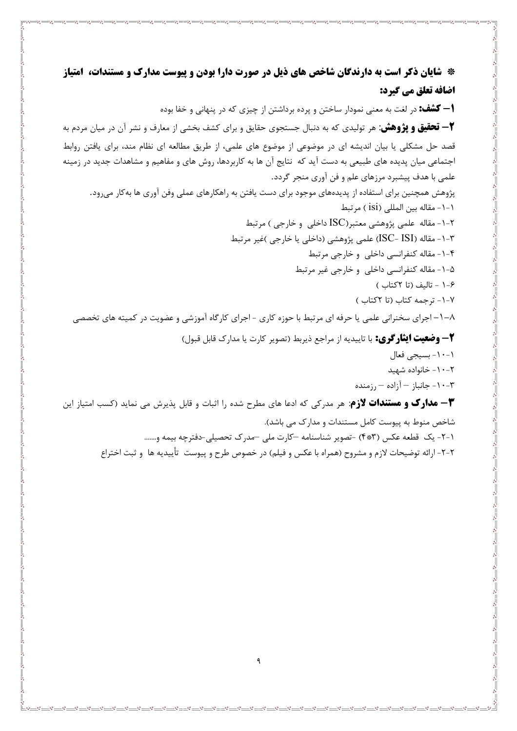\* شایان ذکر است به دارندگان شاخص های ذیل در صورت دارا بودن و پیوست مدارک و مستندات، امتیاز اضافه تعلق مي گيرد: **ا – کشف:** در لغت به معنی نمودار ساختن و پرده برداشتن از چیزی که در پنهانی و خفا بوده **۳- تحقیق و پژوهش:** هر تولیدی که به دنبال جستجوی حقایق و برای کشف بخشی از معارف و نشر آن در میان مردم به قصد حل مشکلی یا بیان اندیشه ای در موضوعی از موضوع های علمی، از طریق مطالعه ای نظام مند، برای یافتن روابط اجتماعی میان پدیده های طبیعی به دست آید که نتایج آن ها به کاربردها، روش های و مفاهیم و مشاهدات جدید در زمینه علمي با هدف پيشبرد مرزهاي علم و فن آوري منجر گردد. پژوهش همچنین برای استفاده از پدیدههای موجود برای دست یافتن به راهکارهای عملی وفن آوری ها بهکار میرود. ١-١- مقاله بين المللي (isi) مرتبط -۱-۲ مقاله علمي پژوهشي معتبر(ISC داخلي و خارجي ) مرتبط K-۳-۱- مقاله (ISC- ISI) علمي پژوهشي (داخلي يا خارجي )غير مرتبط ۴-۱- مقاله کنفرانسی داخلی و خارجی مرتبط ۰۵–۱– مقاله کنفرانسی داخلی و خارجی غیر مرتبط ۶–۱ – تاليف (تا ٢کتاب ) ٧-١- ترجمه كتاب (تا ٢كتاب) ۸–۱–اجرای سخنرانی علمی یا حرفه ای مرتبط با حوزه کاری -اجرای کارگاه آموزشی و عضویت در کمیته های تخصصی **٢ – وضعيت ايثار كري:** با تاييديه از مراجع ذيربط (تصوير كارت يا مدارك قابل قبول) ١-١٠- بسيجي فعال ۰-۲- خانواده شهید ۰-۲ - جانباز  $-$  آزاده $-$  رزمنده $-1 \cdot - \mathcal{F}$ ۳- مدارک و مستندات لازم: هر مدرکی که ادعا های مطرح شده را اثبات و قابل پذیرش می نماید (کسب امتیاز این شاخص منوط به پیوست کامل مستندات و مدارک می باشد). ١-٢- يک قطعه عکس (۴\*۴) -تصوير شناسنامه -کارت ملي -مدرک تحصيلي-دفترچه بيمه و.......

٢-٢- ارائه توضيحات لازم و مشروح (همراه با عكس و فيلم) در خصوص طرح و پيوست تأييديه ها و ثبت اختراع

- % --- ~ % --- % --- % --- % --- % --- % -- % --- % --- % --- % --- % --- % -- % -- % -- % -- % --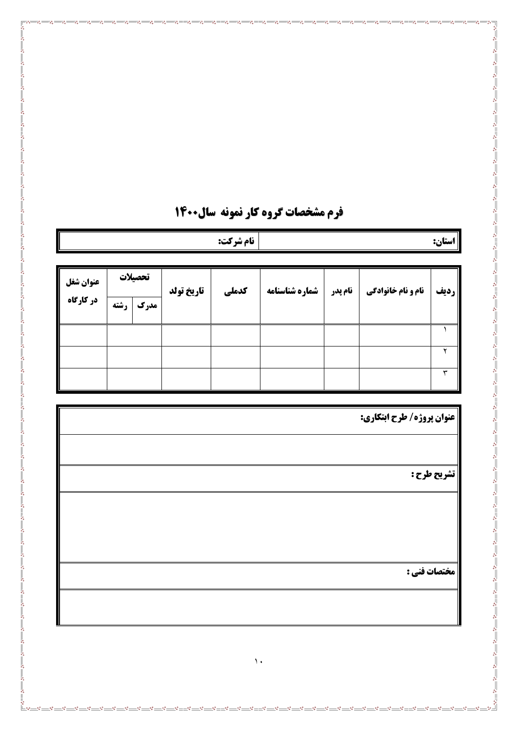|                        |      |                 |            | نام شركت:    |                |         |                           | استان: $\ $             |
|------------------------|------|-----------------|------------|--------------|----------------|---------|---------------------------|-------------------------|
| عنوان شغل<br>در کارگاه | رشته | تحصيلات<br>مدرک | تاريخ تولد | كدملي        | شماره شناسنامه | نام پدر | <b>نام و نام خانوادگی</b> | رديف                    |
|                        |      |                 |            |              |                |         |                           | $\blacktriangle$        |
|                        |      |                 |            |              |                |         |                           | $\overline{\mathbf{r}}$ |
|                        |      |                 |            |              |                |         |                           | $\overline{\mathbf{r}}$ |
|                        |      |                 |            |              |                |         |                           | تشريح طرح :             |
|                        |      |                 |            |              |                |         |                           |                         |
|                        |      |                 |            |              |                |         |                           | مختصات فني :            |
|                        |      |                 |            |              |                |         |                           |                         |
|                        |      |                 |            | $\bar{\ }$ . |                |         |                           |                         |

## **فرم مشخصات گروه کار نمونه سال۱۴۰۰**

 $\overline{\overline{\overline{}}\overline{\overline{}}\overline{\overline{}}\overline{\overline{}}\overline{\overline{}}\overline{\overline{}}\overline{\overline{}}\overline{\overline{}}\overline{\overline{}}\overline{\overline{}}\overline{\overline{}}\overline{\overline{}}\overline{\overline{}}\overline{\overline{}}\overline{\overline{}}\overline{\overline{}}\overline{\overline{}}\overline{\overline{}}\overline{\overline{}}\overline{\overline{}}\overline{\overline{}}\overline{\overline{}}\overline{\overline{}}\overline{\overline{}}\overline{\overline{}}\overline{\overline{}}\overline{\overline{}}\$ 

 $\frac{8}{10} - \frac{8}{10} - \frac{8}{10}$ 

్∘°<del>ా</del>ం—ి<br>¦ి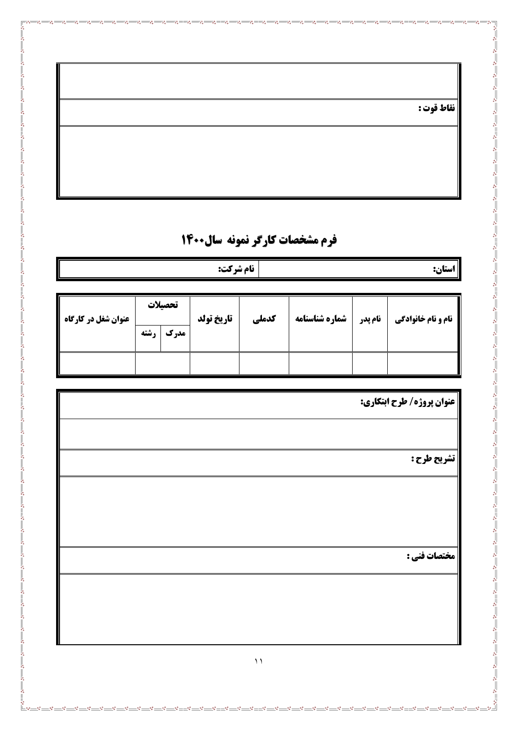|  | نقاط قوت : |  |  |  |
|--|------------|--|--|--|
|--|------------|--|--|--|

Ľ

# فرم مشخصات کارگر نمونه سال1400

| <b>نام شرکت:</b><br>استان: |             |         |            |       |                |         |                           |  |
|----------------------------|-------------|---------|------------|-------|----------------|---------|---------------------------|--|
|                            |             |         |            |       |                |         |                           |  |
|                            |             | تحصيلات |            |       |                |         |                           |  |
| <b>عنوان شغل در کارگاه</b> | <b>رشته</b> | مدرك    | تاريخ تولد | كدملي | شماره شناسنامه | نام پدر | <b>نام و نام خانوادگی</b> |  |
|                            |             |         |            |       |                |         |                           |  |
|                            |             |         |            |       |                |         |                           |  |
|                            |             |         |            |       |                |         |                           |  |

| عنوان پروژه/ طرح ابتکاری: |
|---------------------------|
|                           |
| تشريح طرح:                |
|                           |
|                           |
|                           |
| مختصات فني :              |
|                           |
|                           |
|                           |
| $\bar{~}$                 |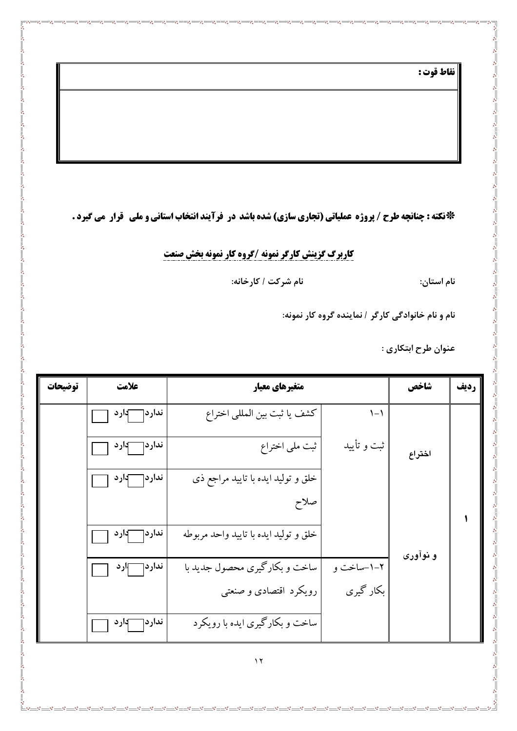نقاط قوت :

 $\mathcal{S} =$  $-85$  $\mathbf{e}^{\bullet}_{\mathbf{e}}$ 

\*ذلكته : چنانچه طرح / پروژه عملياتي (تجاري سازي) شده باشد در فرآيند انتخاب استاني و ملي گقرار مي گيرد .

 $-8 =$ 

 $\frac{8}{100}$   $\frac{8}{100}$   $\frac{8}{100}$ 

¦'<br>|≗∘--°:

 $-$ % $-$ 

<u> - ೲ಄಄಄಄಄಄಄಄಄಄</u>

 $-8 - 8$ 

-8 -8 -8 -8 -8 -

**کاربرگ گزینش کارگر نمونه /گروه کار نمونه بخش صنعت** 

نام استان:

نام شركت / كارخانه:

نام و نام خانوادگی کارگر / نماینده گروه کار نمونه:

 $-$ % $-$ 

عنوان طرح ابتكاري :

| توضيحات | علامت               | متغیرهای معیار                        |             | شاخص     | رديف |
|---------|---------------------|---------------------------------------|-------------|----------|------|
|         | ندار د $\Box$ دار د | كشف يا ثبت بين المللي اختراع          | $1 - 1$     |          |      |
|         | ندار د $\Box$ دار د | ثبت ملي اختراع                        | ثبت و تأييد | اختراع   |      |
|         | ندار د $\Box$ دار د | خلق و توليد ايده با تاييد مراجع ذي    |             |          |      |
|         |                     | صلاح                                  |             |          |      |
|         | ندار دך<br>—ٻار د   | خلق و توليد ايده با تاييد واحد مربوطه |             |          |      |
|         | ندار دسمبار د       | ساخت و بکارگیری محصول جدید با         | ۰-۲-ساخت و  | و نوآوری |      |
|         |                     | رویکرد اقتصادی و صنعتبی               | بکار گیری   |          |      |
|         | ندار د $\Box$ دار د | ساخت و بکارگیری ایده با رویکرد        |             |          |      |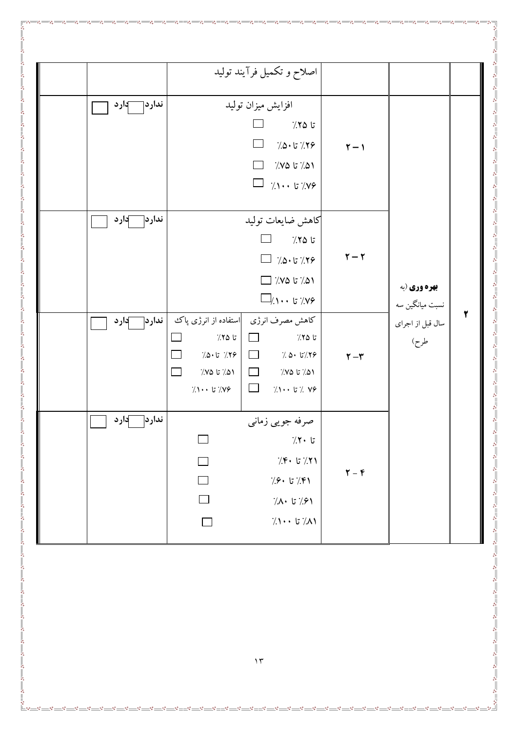|                     | اصلاح و تکمیل فرآیند تولید                                                                                                                                                                                                                                        |                                                   |                                        |
|---------------------|-------------------------------------------------------------------------------------------------------------------------------------------------------------------------------------------------------------------------------------------------------------------|---------------------------------------------------|----------------------------------------|
| ندار دך<br>-آدارد   | افزايش ميزان توليد<br>$\frac{7}{2}$ تا ۲۵٪<br>$\Box$<br>$\Box$<br>$7.0 \cdot 17.79$<br>$\dot{\mathit{z}}$ 10 $\dot{\mathit{z}}$ 10 $\dot{\mathit{z}}$<br>$\Box$<br>$\Box$<br>$\gamma \rightarrow +$ تا ۱۰۰ $\gamma$                                               | $\mathbf{r}-\mathbf{v}$                           |                                        |
| ندار د $\Box$ دار د | كاهش ضايعات توليد<br>$\overline{\phantom{a}}$<br>$\frac{7}{2}$ تا ۲۵٪<br>$\Box$ /.۵۰ تا $\Lambda$ ۰ $\Box$<br>ומ./ تا מ $\gamma$ /<br>$\Box$ / ۱۰۰ تا ۱۰۰ $\Box$                                                                                                  | $\mathbf{r}-\mathbf{r}$                           | <b>بهره وری (به</b><br>نسبت میانگین سه |
| ندار د $\Box$ دار د | کاهش مصرف انرژی م <mark>ااستفاده از انرژی پاک</mark><br>$7.70$ تا<br>$7.70$ تا ۲۵<br>$\Box$<br>$\Box$<br>$7.0 \cdot 5$ 7.7 $\frac{2}{7}$<br>$\frac{1}{2}$ 5/.۲۶ $\frac{1}{2}$<br>$\Box$<br>$\gamma_{\rm c}$ تا ۱۵٪<br>۵۱٪ تا ۷۵٪<br>$\mathcal{L}$<br>۷۶٪ تا ۱۰۰٪٪ | $\mathbf{r}-\mathbf{r}$                           | سال قبل از اجرای<br>طرح)               |
| ندار د<br>دارد -    | صرفه جویبی زمانبی<br>تا ۲۰٪<br>$7.8.177$ تا ۴۰ $7.8$<br>$\Box$<br>$\Box$<br>$7.9 \cdot 7.8$ تا ۶۰ $\cdot$<br>$\Box$<br>٬/۸۰ تا ۸۰/<br>$\lambda \rightarrow \lambda$ تا ۱۰۰ $\lambda$                                                                              | $\boldsymbol{\Upsilon}$ – $\boldsymbol{\Upsilon}$ |                                        |
|                     | $\gamma \tau$                                                                                                                                                                                                                                                     |                                                   |                                        |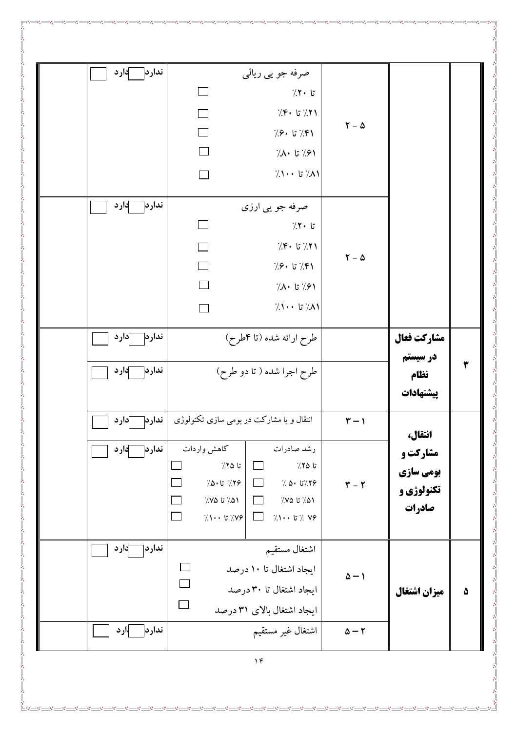| ندار د دارد         | صرفه جو يي ريالي<br>$7.7 \cdot 5$                                                                                                                                                                                                                                                                                                           |                                |                                                      |
|---------------------|---------------------------------------------------------------------------------------------------------------------------------------------------------------------------------------------------------------------------------------------------------------------------------------------------------------------------------------------|--------------------------------|------------------------------------------------------|
|                     | $7.8.177$ تا ۴۰ $7.71$<br>$\Box$                                                                                                                                                                                                                                                                                                            | $\Upsilon - \Delta$            |                                                      |
|                     | $\Box$<br>$7.9.$ تا ۶۰ $7.8$<br>$\Box$<br>$7.1.7$ تا ۸۰ $7.9$                                                                                                                                                                                                                                                                               |                                |                                                      |
|                     | $7.1 \cdot \cdot 57.1$<br>$\Box$                                                                                                                                                                                                                                                                                                            |                                |                                                      |
| ندار د $\Box$ دار د | صرفه جو پي ارزي                                                                                                                                                                                                                                                                                                                             |                                |                                                      |
|                     | تا ۲۰٪                                                                                                                                                                                                                                                                                                                                      |                                |                                                      |
|                     | $\gamma$ : تا ۴۰ $\gamma$<br>$\Box$                                                                                                                                                                                                                                                                                                         | $\mathbf{Y} - \mathbf{\Delta}$ |                                                      |
|                     | $\Box$<br>$7.9.$ تا ۶۰ $($<br>П<br>$7.1.7$ تا ۸۰ $7.9$                                                                                                                                                                                                                                                                                      |                                |                                                      |
|                     | $7.1 \cdot \cdot 7.1$ ט<br>$\Box$                                                                                                                                                                                                                                                                                                           |                                |                                                      |
| ندار دا دار د       | طرح ارائه شده (تا ۴طرح)                                                                                                                                                                                                                                                                                                                     |                                | مشاركت فعال<br>در سیستم                              |
| ندار د<br>∕ارد      | طرح اجرا شده ( تا دو طرح)                                                                                                                                                                                                                                                                                                                   |                                | ۳<br>نظام<br>ييشنهادات                               |
| ندار دا دار د       | انتقال و یا مشارکت در بومی سازی تکنولوژی                                                                                                                                                                                                                                                                                                    | $\mathbf{r}-\mathbf{v}$        | انتقال،                                              |
| ندار د   آدار د     | كاهش واردات<br>رشد صادرات<br>$\Box$<br>$7.70$ تا<br>تا ۲۵٪<br>$\Box$<br>$\overline{\phantom{a}}$<br>$7.0 \cdot 17.79$<br>$\frac{1}{2}$ ، ۱۵۰ $\frac{1}{2}$<br>$\Box$<br>$\Box$<br>۵۱/ تا ۷۵/<br>۵۱/ تا ۷۵/<br>$\Box$<br>$\left  \right\rangle \cdots$ $\left  \right\rangle \left  \right\rangle$<br>$\gamma \rightarrow +$ تا ۱۰۰ $\gamma$ | $\mathbf{Y}-\mathbf{Y}$        | مشارکت و<br>بومي سازي<br><b>تکنولوژی و</b><br>صادرات |
| }ار د               | نداردך<br>اشتغال مستقيم<br>$\overline{\phantom{a}}$<br>ایجاد اشتغال تا ۱۰ درصد<br>$\Box$<br>ایجاد اشتغال تا ۳۰ درصد<br>$\Box$<br>ایجاد اشتغال بالای ۳۱ درصد                                                                                                                                                                                 | $\Delta - 1$                   | ميزان اشتغال<br>۵                                    |
| ندارد  ¦ارد         | اشتغال غير مستقيم                                                                                                                                                                                                                                                                                                                           | $\Delta - 7$                   |                                                      |
|                     |                                                                                                                                                                                                                                                                                                                                             |                                |                                                      |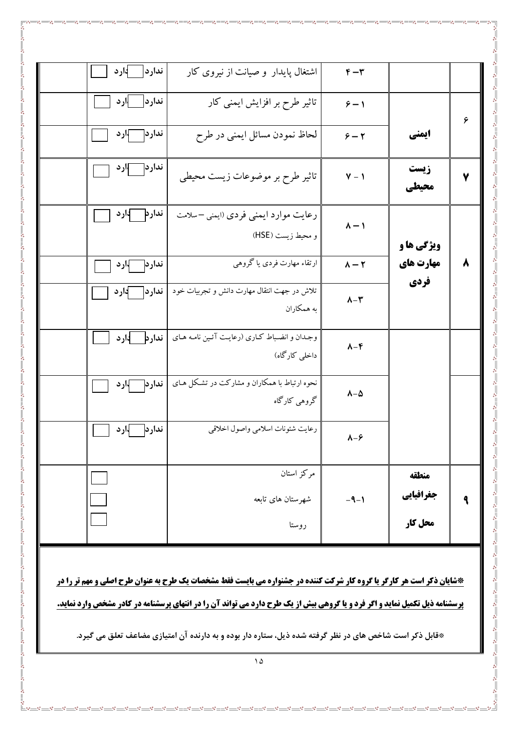|   |                   | $F - T$                  | اشتغال پایدار و صیانت از نیروی کار                             | ار د<br>ندار د     |
|---|-------------------|--------------------------|----------------------------------------------------------------|--------------------|
| ۶ |                   | $5 - 1$                  | تاثیر طرح بر افزایش ایمنی کار                                  | —  ارد<br>ندار د   |
|   | ایمنی             | $5 - 7$                  | لحاظ نمودن مسائل ايمنى در طرح                                  | ندار دا آبار د     |
| ۷ | زيست<br>محيطي     | $Y - 1$                  | تاثیر طرح بر موضوعات زیست محیطی                                | ندار د $\neg$ ار د |
|   | <b>ویژگی ها و</b> | $v - 1$                  | رعایت موارد ایمنی فردی (ایمنی –سلامت<br>و محيط زيست (HSE)      | ندار د دارد        |
| ۸ | مهارت های<br>فردي | $\lambda - \Upsilon$     | ارتقاء مهارت فردي يا گروهي                                     | ندار دا آبار د     |
|   |                   | $\lambda-\mu$            | تلاش در جهت انتقال مهارت دانش و تجربیات خود ¶<br>به همکاران    | ندارد دارد         |
|   |                   | $\lambda - \mathfrak{F}$ | وجدان و انضباط كارى (رعايت آئين نامه هاى<br>داخلی کارگاه)      | ندارد ادارد        |
|   |                   | $v - v$                  | نحوه ارتباط با همکاران و مشارکت در تشکل هـای  <br>گروهی کارگاه | ندار دا آبار د     |
|   |                   | $\lambda-\mathcal{F}$    | رعايت شئونات اسلامي واصول اخلاقي                               | ار د<br>ندار د     |
|   | منطقه             |                          | مركز استان                                                     |                    |
|   | جغرافيايي         | $-9-1$                   | شهرستان های تابعه                                              |                    |
|   | محل کار           |                          | روستا                                                          |                    |

 $-85$ 

 $\overset{\circ^\bullet_0}{\sqsubseteq_{\circ^\bullet}}$ 

\*شایان ذکر است هر کارگر یا گروه کار شرکت کننده در جشنواره می بایست فقط مشخصات یک طرح به عنوان طرح اصلی و مهم تر را در **شنامه ذیل تکمیل نماید و اگر فرد و یا گروهی بیش از یک طرح دارد می تواند آن را در انتهای پرسشنامه در کادر مشخص وارد نماید.** ير س

\*قابل ذکر است شاخص های در نظر گرفته شده ذیل، ستاره دار بوده و به دارنده آن امتیازی مضاعف تعلق می گیرد.

 $\Delta$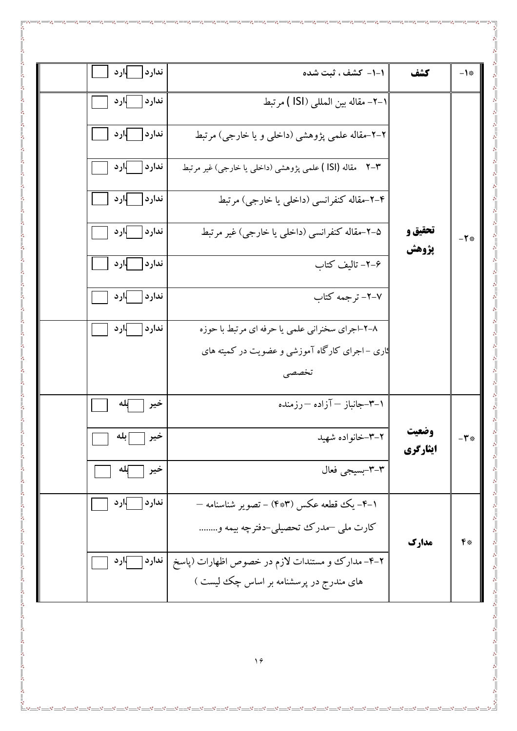| -1*           | كشف               | 1-1- كشف ، ثبت شده                                             | ∤ارد<br>ندارد  |  |
|---------------|-------------------|----------------------------------------------------------------|----------------|--|
|               |                   | ١–٢– مقاله بين المللي (ISI ) مرتبط                             | ار د<br>ندارد  |  |
|               |                   | ۲–۲–مقاله علمی پژوهشی (داخلی و یا خارجی) مرتبط                 | ارد<br>ندارد   |  |
|               |                   | مقاله (ISI ) علمی پژوهشی (داخلی یا خارجی) غیر مرتبط<br>$Y - Y$ | ار د<br>ندار د |  |
|               |                   | ۴–۲–مقاله کنفرانسی (داخلی یا خارجی) مرتبط                      | ندارد  اارد    |  |
| $-Y$ *        | تحقيق و<br>يژوهش  | ۵–۲–مقاله کنفرانسی (داخلبی یا خارجی) غیر مرتبط                 | ندارد  اارد    |  |
|               |                   | ۶–۲– تالیف کتاب                                                | ندارد  ¦ارد    |  |
|               |                   | ٧–٢– ترجمه كتاب                                                | ار د<br>ندار د |  |
|               |                   | ۰۸–۲–اجرای سخنرانی علمی یا حرفه ای مرتبط با حوزه               | ندارد   ارد    |  |
|               |                   | ثاری –اجرای کارگاه آموزشی و عضویت در کمیته های                 |                |  |
|               |                   | تخصصى                                                          |                |  |
|               |                   | ۰۱–۳–جانباز — آزاده — رزمنده                                   | خير            |  |
| $-\mathbf{r}$ | وضعيت<br>ایثارگری | ۲–۳–خانواده شهید                                               | بله<br>حير     |  |
|               |                   | ٣-٣-بسيجي فعال                                                 | إلمه<br>خير    |  |
|               |                   | ۰–۴– یک قطعه عکس (۴*۳) – تصویر شناسنامه –                      | ندارد<br>∤ارد  |  |
| 甲米            | مدارك             | کارت ملی –مدرک تحصیلی–دفترچه بیمه و                            |                |  |
|               |                   | ۲–۴– مدارک و مستندات لازم در خصوص اظهارات (پاسخ                | ندارد  <br>ارد |  |
|               |                   | های مندرج در پرسشنامه بر اساس چک لیست )                        |                |  |
|               |                   |                                                                |                |  |

ೢ

ೢೢ  $\frac{1}{2}$  ್ಲಿ

e. ್ಲಿ å ್ಲಿ ಀೢ

 $\overline{\phantom{0}}$ 

 $\frac{56}{9} - \frac{56}{9}$ 

 $\mathbf{e}$ 

್ಲಿ

್ಲಿ

 $\circ$ <sup>o</sup> ್ಲಿ ್ಲಿ

å

್ಲಿ  $\circ$